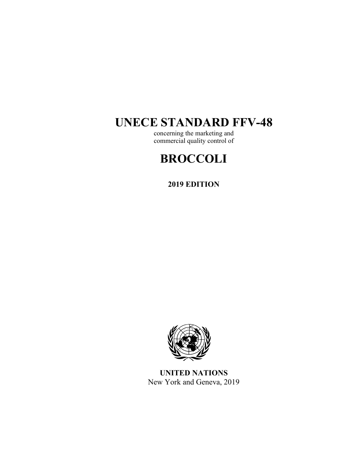# **UNECE STANDARD FFV-48**

concerning the marketing and commercial quality control of

# **BROCCOLI**

**2019 EDITION** 



**UNITED NATIONS**  New York and Geneva, 2019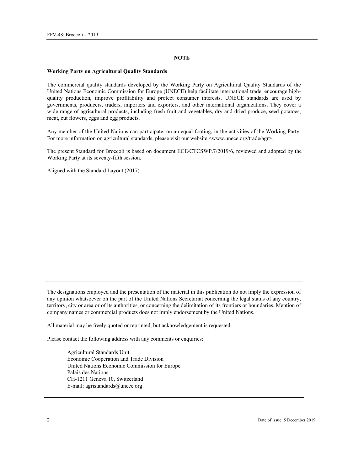#### **NOTE**

#### **Working Party on Agricultural Quality Standards**

The commercial quality standards developed by the Working Party on Agricultural Quality Standards of the United Nations Economic Commission for Europe (UNECE) help facilitate international trade, encourage highquality production, improve profitability and protect consumer interests. UNECE standards are used by governments, producers, traders, importers and exporters, and other international organizations. They cover a wide range of agricultural products, including fresh fruit and vegetables, dry and dried produce, seed potatoes, meat, cut flowers, eggs and egg products.

Any member of the United Nations can participate, on an equal footing, in the activities of the Working Party. For more information on agricultural standards, please visit our website <www.unece.org/trade/agr>.

The present Standard for Broccoli is based on document ECE/CTCSWP.7/2019/6, reviewed and adopted by the Working Party at its seventy-fifth session.

Aligned with the Standard Layout (2017)

The designations employed and the presentation of the material in this publication do not imply the expression of any opinion whatsoever on the part of the United Nations Secretariat concerning the legal status of any country, territory, city or area or of its authorities, or concerning the delimitation of its frontiers or boundaries. Mention of company names or commercial products does not imply endorsement by the United Nations.

All material may be freely quoted or reprinted, but acknowledgement is requested.

Please contact the following address with any comments or enquiries:

Agricultural Standards Unit Economic Cooperation and Trade Division United Nations Economic Commission for Europe Palais des Nations CH-1211 Geneva 10, Switzerland E-mail: agristandards@unece.org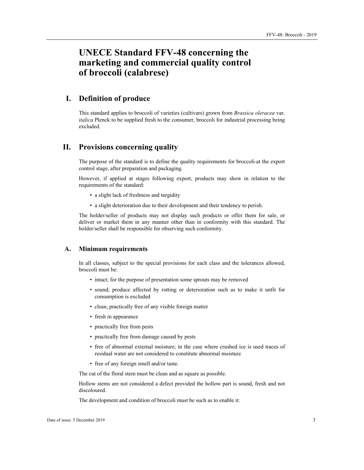# **UNECE Standard FFV-48 concerning the marketing and commercial quality control of broccoli (calabrese)**

# **I. Definition of produce**

This standard applies to broccoli of varieties (cultivars) grown from *Brassica oleracea* var. *italica* Plenck to be supplied fresh to the consumer, broccoli for industrial processing being excluded.

# **II. Provisions concerning quality**

The purpose of the standard is to define the quality requirements for broccoli-at the export control stage, after preparation and packaging.

However, if applied at stages following export, products may show in relation to the requirements of the standard:

- a slight lack of freshness and turgidity
- a slight deterioration due to their development and their tendency to perish.

The holder/seller of products may not display such products or offer them for sale, or deliver or market them in any manner other than in conformity with this standard. The holder/seller shall be responsible for observing such conformity.

# **A. Minimum requirements**

In all classes, subject to the special provisions for each class and the tolerances allowed, broccoli must be:

- intact; for the purpose of presentation some sprouts may be removed
- sound; produce affected by rotting or deterioration such as to make it unfit for consumption is excluded
- clean, practically free of any visible foreign matter
- fresh in appearance
- practically free from pests
- practically free from damage caused by pests
- free of abnormal external moisture; in the case where crushed ice is used traces of residual water are not considered to constitute abnormal moisture
- free of any foreign smell and/or taste.

The cut of the floral stem must be clean and as square as possible.

Hollow stems are not considered a defect provided the hollow part is sound, fresh and not discoloured.

The development and condition of broccoli must be such as to enable it: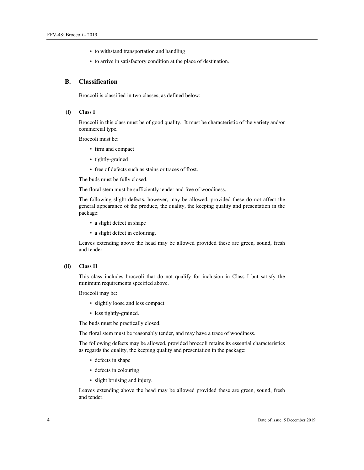- to withstand transportation and handling
- to arrive in satisfactory condition at the place of destination.

# **B. Classification**

Broccoli is classified in two classes, as defined below:

#### **(i) Class I**

Broccoli in this class must be of good quality. It must be characteristic of the variety and/or commercial type.

Broccoli must be:

- firm and compact
- tightly-grained
- free of defects such as stains or traces of frost.

The buds must be fully closed.

The floral stem must be sufficiently tender and free of woodiness.

The following slight defects, however, may be allowed, provided these do not affect the general appearance of the produce, the quality, the keeping quality and presentation in the package:

- a slight defect in shape
- a slight defect in colouring.

Leaves extending above the head may be allowed provided these are green, sound, fresh and tender.

#### **(ii) Class II**

This class includes broccoli that do not qualify for inclusion in Class I but satisfy the minimum requirements specified above.

Broccoli may be:

- slightly loose and less compact
- less tightly-grained.

The buds must be practically closed.

The floral stem must be reasonably tender, and may have a trace of woodiness.

The following defects may be allowed, provided broccoli retains its essential characteristics as regards the quality, the keeping quality and presentation in the package:

- defects in shape
- defects in colouring
- slight bruising and injury.

Leaves extending above the head may be allowed provided these are green, sound, fresh and tender.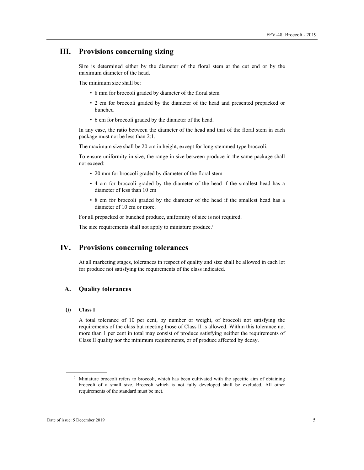# **III. Provisions concerning sizing**

Size is determined either by the diameter of the floral stem at the cut end or by the maximum diameter of the head.

The minimum size shall be:

- 8 mm for broccoli graded by diameter of the floral stem
- 2 cm for broccoli graded by the diameter of the head and presented prepacked or bunched
- 6 cm for broccoli graded by the diameter of the head.

In any case, the ratio between the diameter of the head and that of the floral stem in each package must not be less than 2:1.

The maximum size shall be 20 cm in height, except for long-stemmed type broccoli.

To ensure uniformity in size, the range in size between produce in the same package shall not exceed:

- 20 mm for broccoli graded by diameter of the floral stem
- 4 cm for broccoli graded by the diameter of the head if the smallest head has a diameter of less than 10 cm
- 8 cm for broccoli graded by the diameter of the head if the smallest head has a diameter of 10 cm or more.

For all prepacked or bunched produce, uniformity of size is not required.

The size requirements shall not apply to miniature produce.<sup>1</sup>

# **IV. Provisions concerning tolerances**

At all marketing stages, tolerances in respect of quality and size shall be allowed in each lot for produce not satisfying the requirements of the class indicated.

#### **A. Quality tolerances**

#### **(i) Class I**

A total tolerance of 10 per cent, by number or weight, of broccoli not satisfying the requirements of the class but meeting those of Class II is allowed. Within this tolerance not more than 1 per cent in total may consist of produce satisfying neither the requirements of Class II quality nor the minimum requirements, or of produce affected by decay.

 $\overline{a}$ 

<sup>&</sup>lt;sup>1</sup> Miniature broccoli refers to broccoli, which has been cultivated with the specific aim of obtaining broccoli of a small size. Broccoli which is not fully developed shall be excluded. All other requirements of the standard must be met.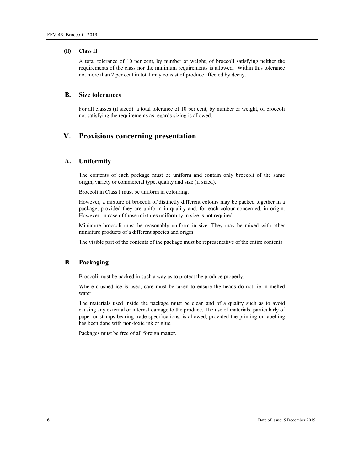#### **(ii) Class II**

A total tolerance of 10 per cent, by number or weight, of broccoli satisfying neither the requirements of the class nor the minimum requirements is allowed. Within this tolerance not more than 2 per cent in total may consist of produce affected by decay.

# **B. Size tolerances**

For all classes (if sized): a total tolerance of 10 per cent, by number or weight, of broccoli not satisfying the requirements as regards sizing is allowed.

# **V. Provisions concerning presentation**

## **A. Uniformity**

The contents of each package must be uniform and contain only broccoli of the same origin, variety or commercial type, quality and size (if sized).

Broccoli in Class I must be uniform in colouring.

However, a mixture of broccoli of distinctly different colours may be packed together in a package, provided they are uniform in quality and, for each colour concerned, in origin. However, in case of those mixtures uniformity in size is not required.

Miniature broccoli must be reasonably uniform in size. They may be mixed with other miniature products of a different species and origin.

The visible part of the contents of the package must be representative of the entire contents.

## **B. Packaging**

Broccoli must be packed in such a way as to protect the produce properly.

Where crushed ice is used, care must be taken to ensure the heads do not lie in melted water.

The materials used inside the package must be clean and of a quality such as to avoid causing any external or internal damage to the produce. The use of materials, particularly of paper or stamps bearing trade specifications, is allowed, provided the printing or labelling has been done with non-toxic ink or glue.

Packages must be free of all foreign matter.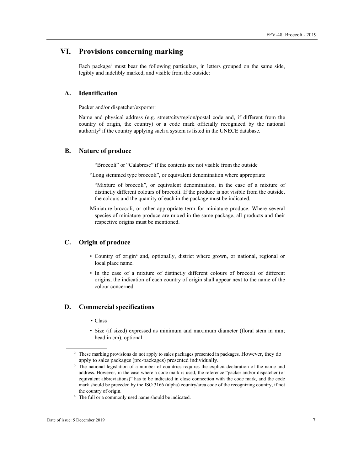# **VI. Provisions concerning marking**

Each package<sup>2</sup> must bear the following particulars, in letters grouped on the same side, legibly and indelibly marked, and visible from the outside:

## **A. Identification**

Packer and/or dispatcher/exporter:

Name and physical address (e.g. street/city/region/postal code and, if different from the country of origin, the country) or a code mark officially recognized by the national authority<sup>3</sup> if the country applying such a system is listed in the UNECE database.

#### **B. Nature of produce**

"Broccoli" or "Calabrese" if the contents are not visible from the outside

"Long stemmed type broccoli", or equivalent denomination where appropriate

 "Mixture of broccoli", or equivalent denomination, in the case of a mixture of distinctly different colours of broccoli. If the produce is not visible from the outside, the colours and the quantity of each in the package must be indicated.

Miniature broccoli, or other appropriate term for miniature produce. Where several species of miniature produce are mixed in the same package, all products and their respective origins must be mentioned.

# **C. Origin of produce**

- Country of origin<sup>4</sup> and, optionally, district where grown, or national, regional or local place name.
- In the case of a mixture of distinctly different colours of broccoli of different origins, the indication of each country of origin shall appear next to the name of the colour concerned.

## **D. Commercial specifications**

- Class
- Size (if sized) expressed as minimum and maximum diameter (floral stem in mm; head in cm), optional

 $\overline{a}$ 

<sup>&</sup>lt;sup>2</sup> These marking provisions do not apply to sales packages presented in packages. However, they do apply to sales packages (pre-packages) presented individually.

<sup>&</sup>lt;sup>3</sup> The national legislation of a number of countries requires the explicit declaration of the name and address. However, in the case where a code mark is used, the reference "packer and/or dispatcher (or equivalent abbreviations)" has to be indicated in close connection with the code mark, and the code mark should be preceded by the ISO 3166 (alpha) country/area code of the recognizing country, if not the country of origin. 4 The full or a commonly used name should be indicated.